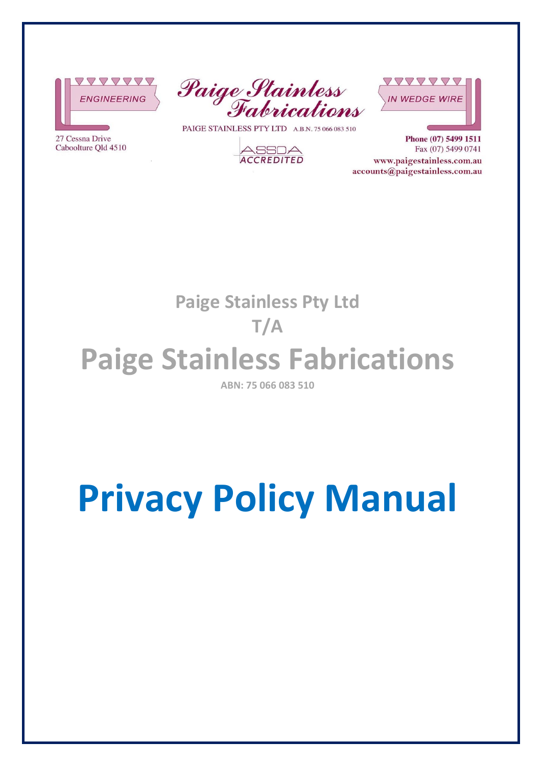







PAIGE STAINLESS PTY LTD A.B.N. 75 066 083 510



Phone (07) 5499 1511 Fax (07) 5499 0741 www.paigestainless.com.au accounts@paigestainless.com.au

**Paige Stainless Pty Ltd** 

### **T/A**

## **Paige Stainless Fabrications**

**ABN: 75 066 083 510** 

# **Privacy Policy Manual**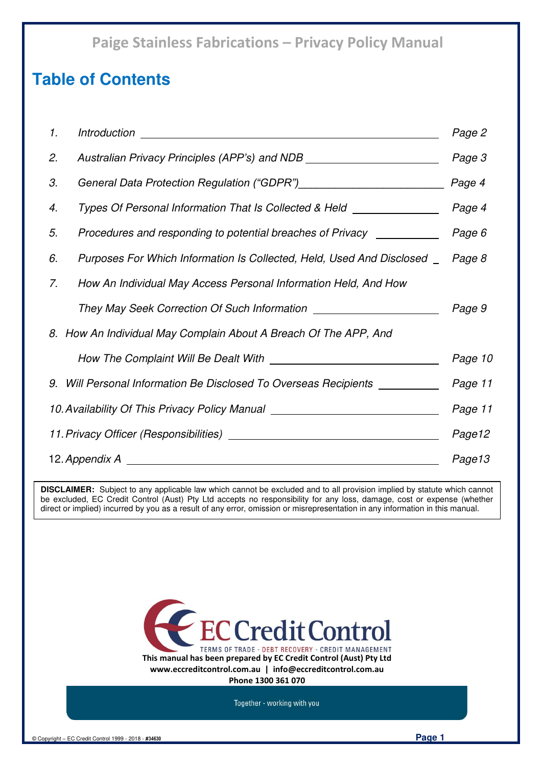### **Table of Contents**

| 1.                                                                               | <i><b>Introduction</b></i><br><u> 1989 - Johann Harry Barn, mars ar breist fan de Amerikaanske kommunent fan de Amerikaanske kommunent fan de A</u> | Page 2  |
|----------------------------------------------------------------------------------|-----------------------------------------------------------------------------------------------------------------------------------------------------|---------|
| 2.                                                                               | Australian Privacy Principles (APP's) and NDB __________________________________                                                                    | Page 3  |
| 3.                                                                               |                                                                                                                                                     | Page 4  |
| 4.                                                                               | Types Of Personal Information That Is Collected & Held ________________                                                                             | Page 4  |
| 5.                                                                               | Procedures and responding to potential breaches of Privacy ___________                                                                              | Page 6  |
| 6.                                                                               | Purposes For Which Information Is Collected, Held, Used And Disclosed _                                                                             | Page 8  |
| 7.                                                                               | How An Individual May Access Personal Information Held, And How                                                                                     |         |
|                                                                                  | They May Seek Correction Of Such Information ___________________________________                                                                    | Page 9  |
|                                                                                  | 8. How An Individual May Complain About A Breach Of The APP, And                                                                                    |         |
|                                                                                  |                                                                                                                                                     | Page 10 |
|                                                                                  | 9. Will Personal Information Be Disclosed To Overseas Recipients __________                                                                         | Page 11 |
| 10. Availability Of This Privacy Policy Manual _________________________________ |                                                                                                                                                     | Page 11 |
|                                                                                  |                                                                                                                                                     | Page12  |
| 12. Appendix A                                                                   |                                                                                                                                                     | Page13  |

**DISCLAIMER:** Subject to any applicable law which cannot be excluded and to all provision implied by statute which cannot be excluded, EC Credit Control (Aust) Pty Ltd accepts no responsibility for any loss, damage, cost or expense (whether direct or implied) incurred by you as a result of any error, omission or misrepresentation in any information in this manual.



**Phone 1300 361 070** 

Together - working with you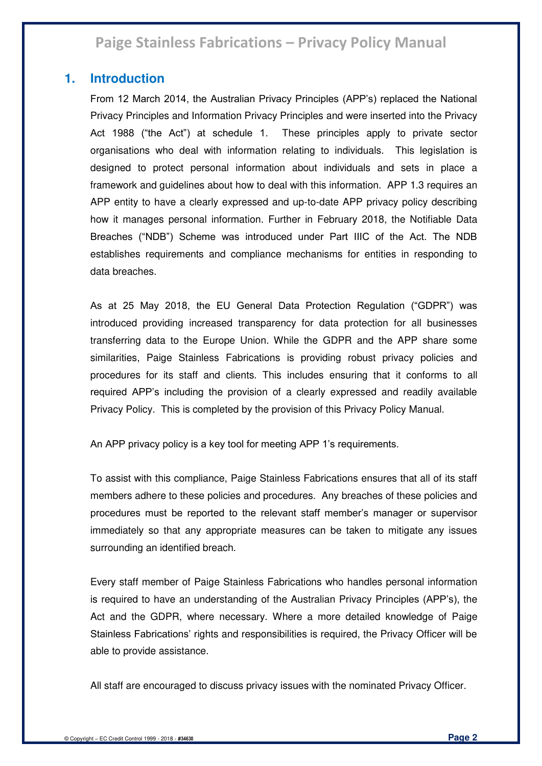### **1. Introduction**

From 12 March 2014, the Australian Privacy Principles (APP's) replaced the National Privacy Principles and Information Privacy Principles and were inserted into the Privacy Act 1988 ("the Act") at schedule 1. These principles apply to private sector organisations who deal with information relating to individuals. This legislation is designed to protect personal information about individuals and sets in place a framework and guidelines about how to deal with this information. APP 1.3 requires an APP entity to have a clearly expressed and up-to-date APP privacy policy describing how it manages personal information. Further in February 2018, the Notifiable Data Breaches ("NDB") Scheme was introduced under Part IIIC of the Act. The NDB establishes requirements and compliance mechanisms for entities in responding to data breaches.

As at 25 May 2018, the EU General Data Protection Regulation ("GDPR") was introduced providing increased transparency for data protection for all businesses transferring data to the Europe Union. While the GDPR and the APP share some similarities, Paige Stainless Fabrications is providing robust privacy policies and procedures for its staff and clients. This includes ensuring that it conforms to all required APP's including the provision of a clearly expressed and readily available Privacy Policy. This is completed by the provision of this Privacy Policy Manual.

An APP privacy policy is a key tool for meeting APP 1's requirements.

To assist with this compliance, Paige Stainless Fabrications ensures that all of its staff members adhere to these policies and procedures. Any breaches of these policies and procedures must be reported to the relevant staff member's manager or supervisor immediately so that any appropriate measures can be taken to mitigate any issues surrounding an identified breach.

Every staff member of Paige Stainless Fabrications who handles personal information is required to have an understanding of the Australian Privacy Principles (APP's), the Act and the GDPR, where necessary. Where a more detailed knowledge of Paige Stainless Fabrications' rights and responsibilities is required, the Privacy Officer will be able to provide assistance.

All staff are encouraged to discuss privacy issues with the nominated Privacy Officer.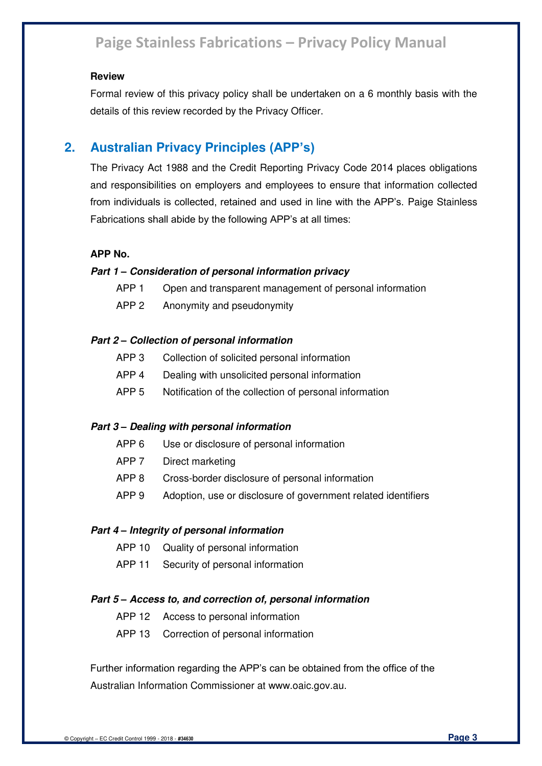#### **Review**

Formal review of this privacy policy shall be undertaken on a 6 monthly basis with the details of this review recorded by the Privacy Officer.

### **2. Australian Privacy Principles (APP's)**

The Privacy Act 1988 and the Credit Reporting Privacy Code 2014 places obligations and responsibilities on employers and employees to ensure that information collected from individuals is collected, retained and used in line with the APP's. Paige Stainless Fabrications shall abide by the following APP's at all times:

#### **APP No.**

#### *Part 1 – Consideration of personal information privacy*

- APP 1 Open and transparent management of personal information
- APP 2 Anonymity and pseudonymity

#### *Part 2 – Collection of personal information*

- APP 3 Collection of solicited personal information
- APP 4 Dealing with unsolicited personal information
- APP 5 Notification of the collection of personal information

#### *Part 3 – Dealing with personal information*

- APP 6 Use or disclosure of personal information
- APP 7 Direct marketing
- APP 8 Cross-border disclosure of personal information
- APP 9 Adoption, use or disclosure of government related identifiers

#### *Part 4 – Integrity of personal information*

- APP 10 Quality of personal information
- APP 11 Security of personal information

#### *Part 5 – Access to, and correction of, personal information*

- APP 12 Access to personal information
- APP 13 Correction of personal information

Further information regarding the APP's can be obtained from the office of the Australian Information Commissioner at www.oaic.gov.au.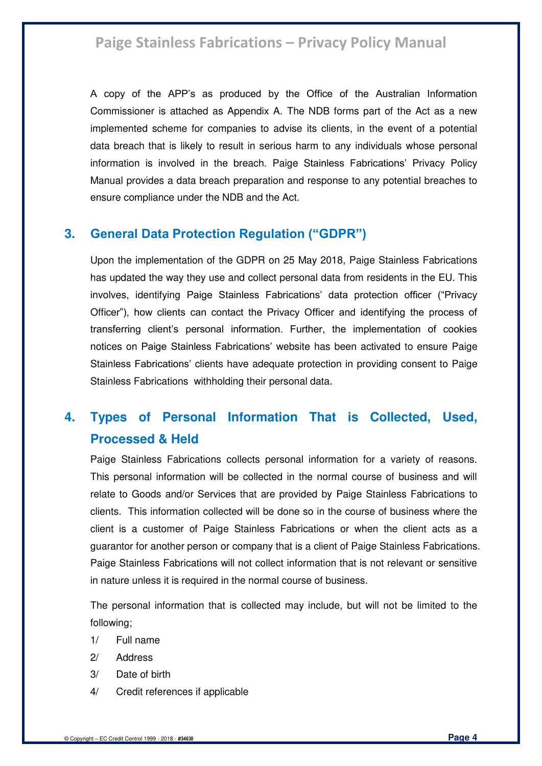A copy of the APP's as produced by the Office of the Australian Information Commissioner is attached as Appendix A. The NDB forms part of the Act as a new implemented scheme for companies to advise its clients, in the event of a potential data breach that is likely to result in serious harm to any individuals whose personal information is involved in the breach. Paige Stainless Fabrications' Privacy Policy Manual provides a data breach preparation and response to any potential breaches to ensure compliance under the NDB and the Act.

### **3. General Data Protection Regulation ("GDPR")**

Upon the implementation of the GDPR on 25 May 2018, Paige Stainless Fabrications has updated the way they use and collect personal data from residents in the EU. This involves, identifying Paige Stainless Fabrications' data protection officer ("Privacy Officer"), how clients can contact the Privacy Officer and identifying the process of transferring client's personal information. Further, the implementation of cookies notices on Paige Stainless Fabrications' website has been activated to ensure Paige Stainless Fabrications' clients have adequate protection in providing consent to Paige Stainless Fabrications withholding their personal data.

### **4. Types of Personal Information That is Collected, Used, Processed & Held**

Paige Stainless Fabrications collects personal information for a variety of reasons. This personal information will be collected in the normal course of business and will relate to Goods and/or Services that are provided by Paige Stainless Fabrications to clients. This information collected will be done so in the course of business where the client is a customer of Paige Stainless Fabrications or when the client acts as a guarantor for another person or company that is a client of Paige Stainless Fabrications. Paige Stainless Fabrications will not collect information that is not relevant or sensitive in nature unless it is required in the normal course of business.

The personal information that is collected may include, but will not be limited to the following;

- 1/ Full name
- 2/ Address
- 3/ Date of birth
- 4/ Credit references if applicable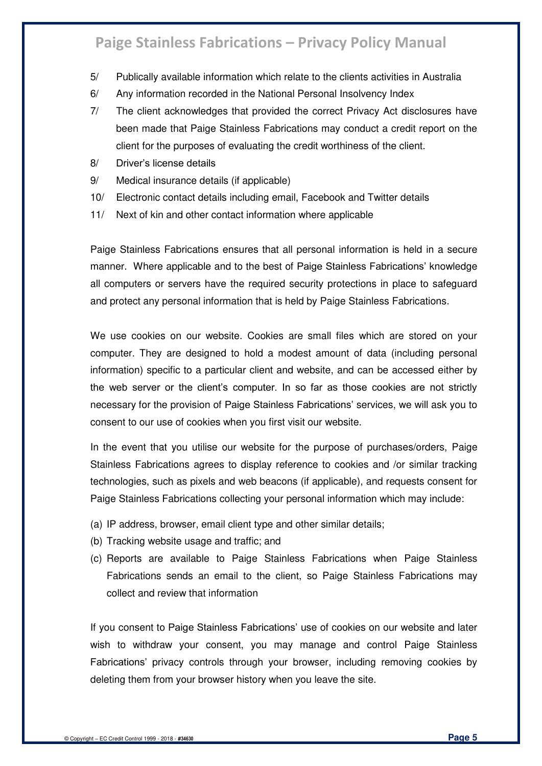- 5/ Publically available information which relate to the clients activities in Australia
- 6/ Any information recorded in the National Personal Insolvency Index
- 7/ The client acknowledges that provided the correct Privacy Act disclosures have been made that Paige Stainless Fabrications may conduct a credit report on the client for the purposes of evaluating the credit worthiness of the client.
- 8/ Driver's license details
- 9/ Medical insurance details (if applicable)
- 10/ Electronic contact details including email, Facebook and Twitter details
- 11/ Next of kin and other contact information where applicable

Paige Stainless Fabrications ensures that all personal information is held in a secure manner. Where applicable and to the best of Paige Stainless Fabrications' knowledge all computers or servers have the required security protections in place to safeguard and protect any personal information that is held by Paige Stainless Fabrications.

We use cookies on our website. Cookies are small files which are stored on your computer. They are designed to hold a modest amount of data (including personal information) specific to a particular client and website, and can be accessed either by the web server or the client's computer. In so far as those cookies are not strictly necessary for the provision of Paige Stainless Fabrications' services, we will ask you to consent to our use of cookies when you first visit our website.

In the event that you utilise our website for the purpose of purchases/orders, Paige Stainless Fabrications agrees to display reference to cookies and /or similar tracking technologies, such as pixels and web beacons (if applicable), and requests consent for Paige Stainless Fabrications collecting your personal information which may include:

- (a) IP address, browser, email client type and other similar details;
- (b) Tracking website usage and traffic; and
- (c) Reports are available to Paige Stainless Fabrications when Paige Stainless Fabrications sends an email to the client, so Paige Stainless Fabrications may collect and review that information

If you consent to Paige Stainless Fabrications' use of cookies on our website and later wish to withdraw your consent, you may manage and control Paige Stainless Fabrications' privacy controls through your browser, including removing cookies by deleting them from your browser history when you leave the site.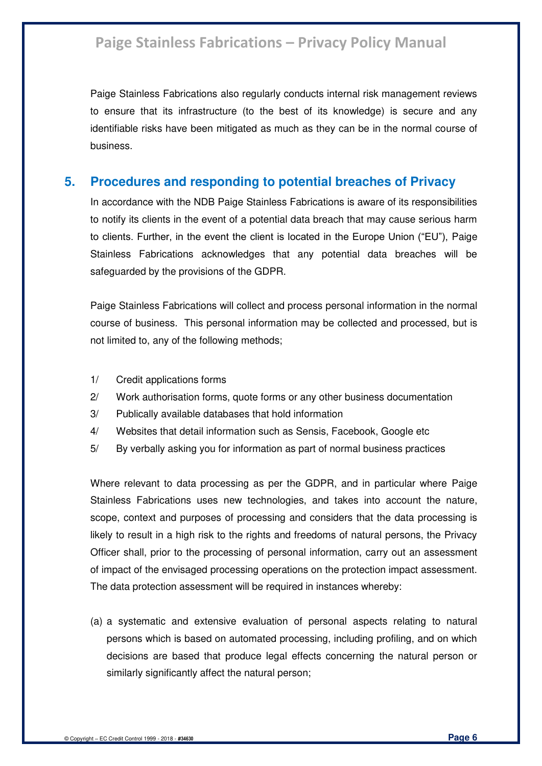Paige Stainless Fabrications also regularly conducts internal risk management reviews to ensure that its infrastructure (to the best of its knowledge) is secure and any identifiable risks have been mitigated as much as they can be in the normal course of business.

### **5. Procedures and responding to potential breaches of Privacy**

In accordance with the NDB Paige Stainless Fabrications is aware of its responsibilities to notify its clients in the event of a potential data breach that may cause serious harm to clients. Further, in the event the client is located in the Europe Union ("EU"), Paige Stainless Fabrications acknowledges that any potential data breaches will be safeguarded by the provisions of the GDPR.

Paige Stainless Fabrications will collect and process personal information in the normal course of business. This personal information may be collected and processed, but is not limited to, any of the following methods;

- 1/ Credit applications forms
- 2/ Work authorisation forms, quote forms or any other business documentation
- 3/ Publically available databases that hold information
- 4/ Websites that detail information such as Sensis, Facebook, Google etc
- 5/ By verbally asking you for information as part of normal business practices

Where relevant to data processing as per the GDPR, and in particular where Paige Stainless Fabrications uses new technologies, and takes into account the nature, scope, context and purposes of processing and considers that the data processing is likely to result in a high risk to the rights and freedoms of natural persons, the Privacy Officer shall, prior to the processing of personal information, carry out an assessment of impact of the envisaged processing operations on the protection impact assessment. The data protection assessment will be required in instances whereby:

(a) a systematic and extensive evaluation of personal aspects relating to natural persons which is based on automated processing, including profiling, and on which decisions are based that produce legal effects concerning the natural person or similarly significantly affect the natural person;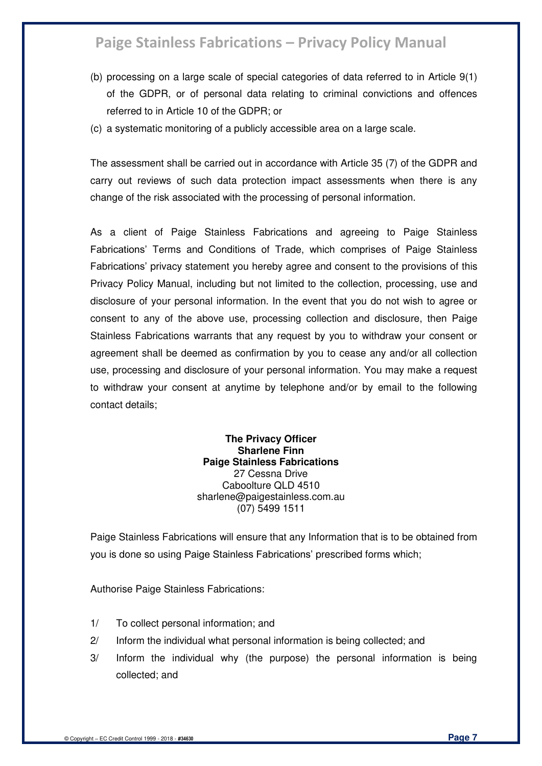- (b) processing on a large scale of special categories of data referred to in [Article 9\(](https://gdpr-info.eu/art-9-gdpr/)1) of the GDPR, or of personal data relating to criminal convictions and offences referred to in [Article 10](https://gdpr-info.eu/art-10-gdpr/) of the GDPR; or
- (c) a systematic monitoring of a publicly accessible area on a large scale.

The assessment shall be carried out in accordance with Article 35 (7) of the GDPR and carry out reviews of such data protection impact assessments when there is any change of the risk associated with the processing of personal information.

As a client of Paige Stainless Fabrications and agreeing to Paige Stainless Fabrications' Terms and Conditions of Trade, which comprises of Paige Stainless Fabrications' privacy statement you hereby agree and consent to the provisions of this Privacy Policy Manual, including but not limited to the collection, processing, use and disclosure of your personal information. In the event that you do not wish to agree or consent to any of the above use, processing collection and disclosure, then Paige Stainless Fabrications warrants that any request by you to withdraw your consent or agreement shall be deemed as confirmation by you to cease any and/or all collection use, processing and disclosure of your personal information. You may make a request to withdraw your consent at anytime by telephone and/or by email to the following contact details;

#### **The Privacy Officer Sharlene Finn Paige Stainless Fabrications**  27 Cessna Drive Caboolture QLD 4510 sharlene@paigestainless.com.au (07) 5499 1511

Paige Stainless Fabrications will ensure that any Information that is to be obtained from you is done so using Paige Stainless Fabrications' prescribed forms which;

Authorise Paige Stainless Fabrications:

- 1/ To collect personal information; and
- 2/ Inform the individual what personal information is being collected; and
- 3/ Inform the individual why (the purpose) the personal information is being collected; and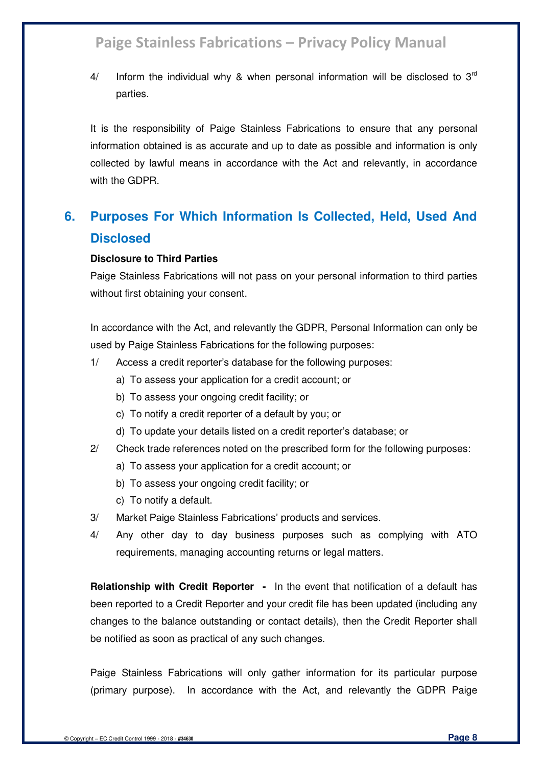4/ Inform the individual why & when personal information will be disclosed to  $3<sup>rd</sup>$ parties.

It is the responsibility of Paige Stainless Fabrications to ensure that any personal information obtained is as accurate and up to date as possible and information is only collected by lawful means in accordance with the Act and relevantly, in accordance with the GDPR.

### **6. Purposes For Which Information Is Collected, Held, Used And Disclosed**

#### **Disclosure to Third Parties**

Paige Stainless Fabrications will not pass on your personal information to third parties without first obtaining your consent.

In accordance with the Act, and relevantly the GDPR, Personal Information can only be used by Paige Stainless Fabrications for the following purposes:

- 1/ Access a credit reporter's database for the following purposes:
	- a) To assess your application for a credit account; or
	- b) To assess your ongoing credit facility; or
	- c) To notify a credit reporter of a default by you; or
	- d) To update your details listed on a credit reporter's database; or
- 2/ Check trade references noted on the prescribed form for the following purposes:
	- a) To assess your application for a credit account; or
	- b) To assess your ongoing credit facility; or
	- c) To notify a default.
- 3/ Market Paige Stainless Fabrications' products and services.
- 4/ Any other day to day business purposes such as complying with ATO requirements, managing accounting returns or legal matters.

**Relationship with Credit Reporter -** In the event that notification of a default has been reported to a Credit Reporter and your credit file has been updated (including any changes to the balance outstanding or contact details), then the Credit Reporter shall be notified as soon as practical of any such changes.

Paige Stainless Fabrications will only gather information for its particular purpose (primary purpose). In accordance with the Act, and relevantly the GDPR Paige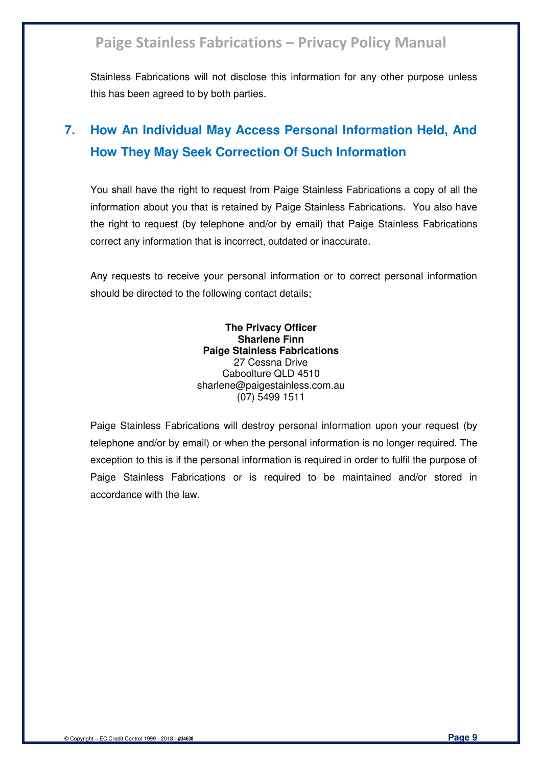Stainless Fabrications will not disclose this information for any other purpose unless this has been agreed to by both parties.

### **7. How An Individual May Access Personal Information Held, And How They May Seek Correction Of Such Information**

You shall have the right to request from Paige Stainless Fabrications a copy of all the information about you that is retained by Paige Stainless Fabrications. You also have the right to request (by telephone and/or by email) that Paige Stainless Fabrications correct any information that is incorrect, outdated or inaccurate.

Any requests to receive your personal information or to correct personal information should be directed to the following contact details;

> **The Privacy Officer Sharlene Finn Paige Stainless Fabrications**  27 Cessna Drive Caboolture QLD 4510 sharlene@paigestainless.com.au (07) 5499 1511

Paige Stainless Fabrications will destroy personal information upon your request (by telephone and/or by email) or when the personal information is no longer required. The exception to this is if the personal information is required in order to fulfil the purpose of Paige Stainless Fabrications or is required to be maintained and/or stored in accordance with the law.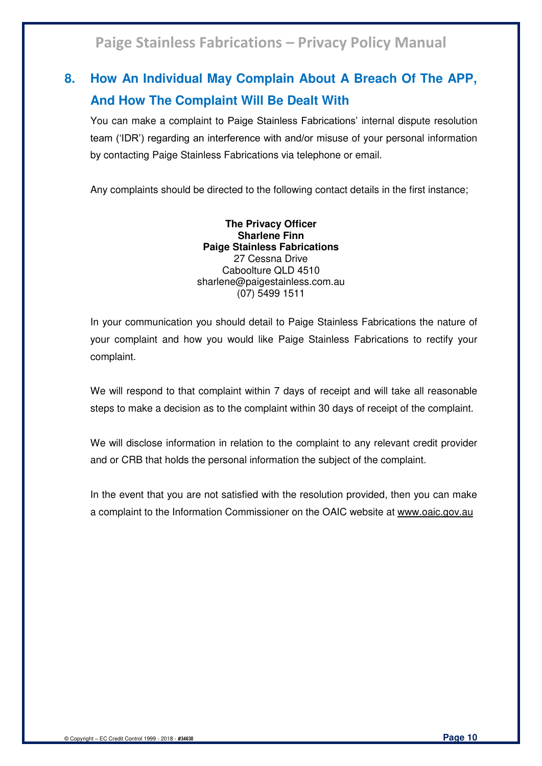### **8. How An Individual May Complain About A Breach Of The APP, And How The Complaint Will Be Dealt With**

You can make a complaint to Paige Stainless Fabrications' internal dispute resolution team ('IDR') regarding an interference with and/or misuse of your personal information by contacting Paige Stainless Fabrications via telephone or email.

Any complaints should be directed to the following contact details in the first instance;

**The Privacy Officer Sharlene Finn Paige Stainless Fabrications**  27 Cessna Drive Caboolture QLD 4510 sharlene@paigestainless.com.au (07) 5499 1511

In your communication you should detail to Paige Stainless Fabrications the nature of your complaint and how you would like Paige Stainless Fabrications to rectify your complaint.

We will respond to that complaint within 7 days of receipt and will take all reasonable steps to make a decision as to the complaint within 30 days of receipt of the complaint.

We will disclose information in relation to the complaint to any relevant credit provider and or CRB that holds the personal information the subject of the complaint.

In the event that you are not satisfied with the resolution provided, then you can make a complaint to the Information Commissioner on the OAIC website at [www.oaic.gov.au](http://www.oaic.gov.au/)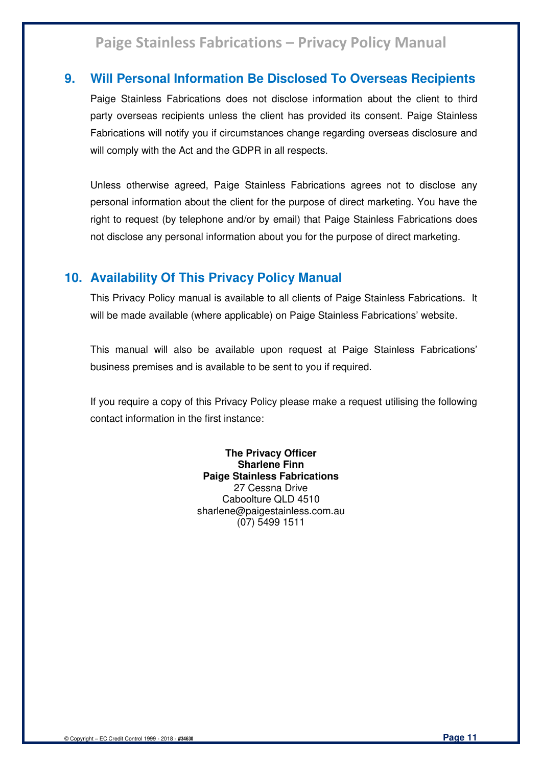### **9. Will Personal Information Be Disclosed To Overseas Recipients**

Paige Stainless Fabrications does not disclose information about the client to third party overseas recipients unless the client has provided its consent. Paige Stainless Fabrications will notify you if circumstances change regarding overseas disclosure and will comply with the Act and the GDPR in all respects.

Unless otherwise agreed, Paige Stainless Fabrications agrees not to disclose any personal information about the client for the purpose of direct marketing. You have the right to request (by telephone and/or by email) that Paige Stainless Fabrications does not disclose any personal information about you for the purpose of direct marketing.

### **10. Availability Of This Privacy Policy Manual**

This Privacy Policy manual is available to all clients of Paige Stainless Fabrications. It will be made available (where applicable) on Paige Stainless Fabrications' website.

This manual will also be available upon request at Paige Stainless Fabrications' business premises and is available to be sent to you if required.

If you require a copy of this Privacy Policy please make a request utilising the following contact information in the first instance:

> **The Privacy Officer Sharlene Finn Paige Stainless Fabrications**  27 Cessna Drive Caboolture QLD 4510 sharlene@paigestainless.com.au (07) 5499 1511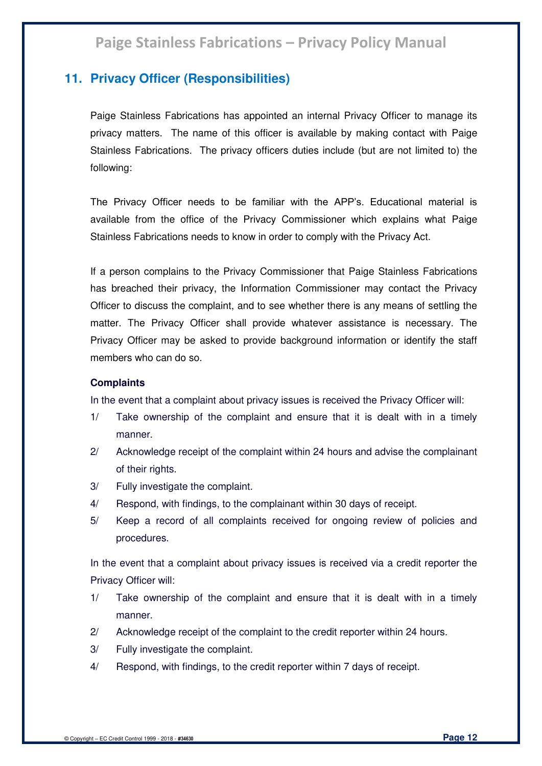### **11. Privacy Officer (Responsibilities)**

Paige Stainless Fabrications has appointed an internal Privacy Officer to manage its privacy matters. The name of this officer is available by making contact with Paige Stainless Fabrications. The privacy officers duties include (but are not limited to) the following:

The Privacy Officer needs to be familiar with the APP's. Educational material is available from the office of the Privacy Commissioner which explains what Paige Stainless Fabrications needs to know in order to comply with the Privacy Act.

If a person complains to the Privacy Commissioner that Paige Stainless Fabrications has breached their privacy, the Information Commissioner may contact the Privacy Officer to discuss the complaint, and to see whether there is any means of settling the matter. The Privacy Officer shall provide whatever assistance is necessary. The Privacy Officer may be asked to provide background information or identify the staff members who can do so.

#### **Complaints**

In the event that a complaint about privacy issues is received the Privacy Officer will:

- 1/ Take ownership of the complaint and ensure that it is dealt with in a timely manner.
- 2/ Acknowledge receipt of the complaint within 24 hours and advise the complainant of their rights.
- 3/ Fully investigate the complaint.
- 4/ Respond, with findings, to the complainant within 30 days of receipt.
- 5/ Keep a record of all complaints received for ongoing review of policies and procedures.

In the event that a complaint about privacy issues is received via a credit reporter the Privacy Officer will:

- 1/ Take ownership of the complaint and ensure that it is dealt with in a timely manner.
- 2/ Acknowledge receipt of the complaint to the credit reporter within 24 hours.
- 3/ Fully investigate the complaint.
- 4/ Respond, with findings, to the credit reporter within 7 days of receipt.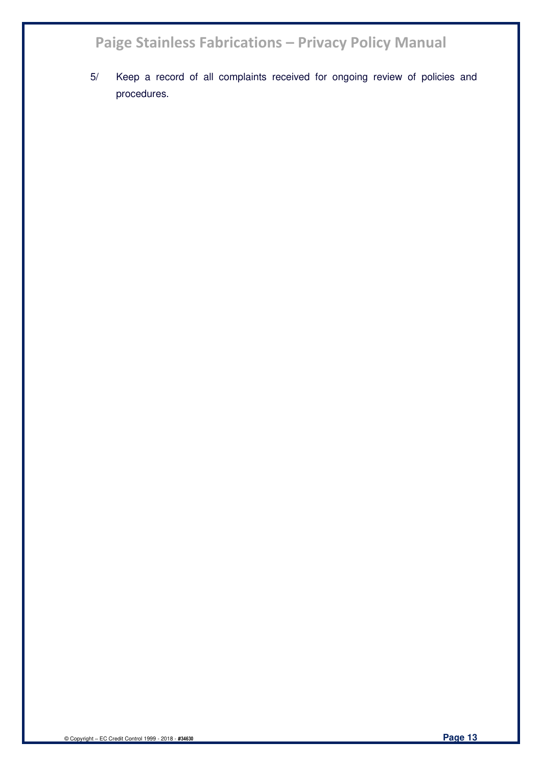5/ Keep a record of all complaints received for ongoing review of policies and procedures.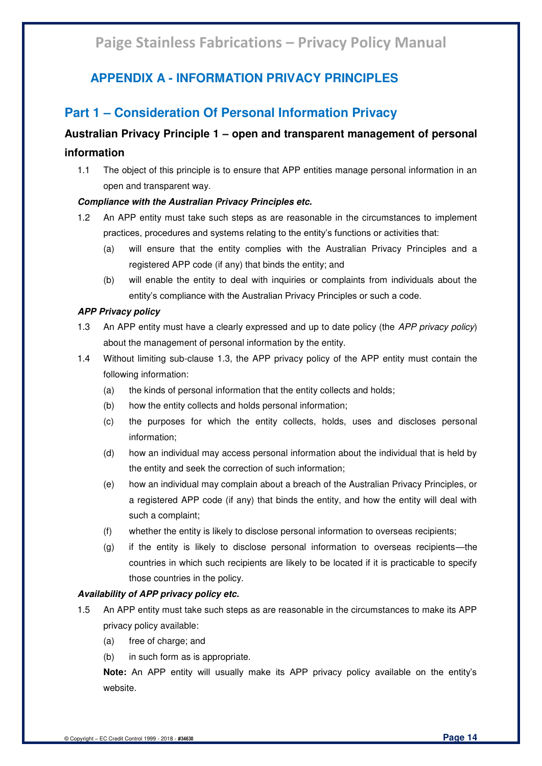### **APPENDIX A - INFORMATION PRIVACY PRINCIPLES**

### **Part 1 – Consideration Of Personal Information Privacy**

### **Australian Privacy Principle 1 – open and transparent management of personal information**

1.1 The object of this principle is to ensure that APP entities manage personal information in an open and transparent way.

#### *Compliance with the Australian Privacy Principles etc.*

- 1.2 An APP entity must take such steps as are reasonable in the circumstances to implement practices, procedures and systems relating to the entity's functions or activities that:
	- (a) will ensure that the entity complies with the Australian Privacy Principles and a registered APP code (if any) that binds the entity; and
	- (b) will enable the entity to deal with inquiries or complaints from individuals about the entity's compliance with the Australian Privacy Principles or such a code.

#### *APP Privacy policy*

- 1.3 An APP entity must have a clearly expressed and up to date policy (the *APP privacy policy*) about the management of personal information by the entity.
- 1.4 Without limiting sub-clause 1.3, the APP privacy policy of the APP entity must contain the following information:
	- (a) the kinds of personal information that the entity collects and holds;
	- (b) how the entity collects and holds personal information;
	- (c) the purposes for which the entity collects, holds, uses and discloses personal information;
	- (d) how an individual may access personal information about the individual that is held by the entity and seek the correction of such information;
	- (e) how an individual may complain about a breach of the Australian Privacy Principles, or a registered APP code (if any) that binds the entity, and how the entity will deal with such a complaint;
	- (f) whether the entity is likely to disclose personal information to overseas recipients;
	- (g) if the entity is likely to disclose personal information to overseas recipients—the countries in which such recipients are likely to be located if it is practicable to specify those countries in the policy.

#### *Availability of APP privacy policy etc.*

- 1.5 An APP entity must take such steps as are reasonable in the circumstances to make its APP privacy policy available:
	- (a) free of charge; and
	- (b) in such form as is appropriate.

**Note:** An APP entity will usually make its APP privacy policy available on the entity's website.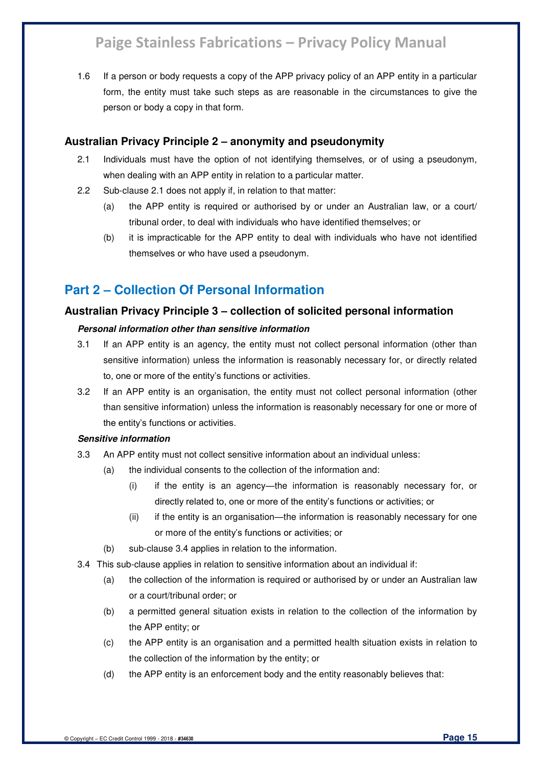1.6 If a person or body requests a copy of the APP privacy policy of an APP entity in a particular form, the entity must take such steps as are reasonable in the circumstances to give the person or body a copy in that form.

#### **Australian Privacy Principle 2 – anonymity and pseudonymity**

- 2.1 Individuals must have the option of not identifying themselves, or of using a pseudonym, when dealing with an APP entity in relation to a particular matter.
- 2.2 Sub-clause 2.1 does not apply if, in relation to that matter:
	- (a) the APP entity is required or authorised by or under an Australian law, or a court/ tribunal order, to deal with individuals who have identified themselves; or
	- (b) it is impracticable for the APP entity to deal with individuals who have not identified themselves or who have used a pseudonym.

### **Part 2 – Collection Of Personal Information**

#### **Australian Privacy Principle 3 – collection of solicited personal information**

#### *Personal information other than sensitive information*

- 3.1 If an APP entity is an agency, the entity must not collect personal information (other than sensitive information) unless the information is reasonably necessary for, or directly related to, one or more of the entity's functions or activities.
- 3.2 If an APP entity is an organisation, the entity must not collect personal information (other than sensitive information) unless the information is reasonably necessary for one or more of the entity's functions or activities.

#### *Sensitive information*

- 3.3 An APP entity must not collect sensitive information about an individual unless:
	- (a) the individual consents to the collection of the information and:
		- (i) if the entity is an agency—the information is reasonably necessary for, or directly related to, one or more of the entity's functions or activities; or
		- (ii) if the entity is an organisation—the information is reasonably necessary for one or more of the entity's functions or activities; or
	- (b) sub-clause 3.4 applies in relation to the information.
- 3.4 This sub-clause applies in relation to sensitive information about an individual if:
	- (a) the collection of the information is required or authorised by or under an Australian law or a court/tribunal order; or
	- (b) a permitted general situation exists in relation to the collection of the information by the APP entity; or
	- (c) the APP entity is an organisation and a permitted health situation exists in relation to the collection of the information by the entity; or
	- (d) the APP entity is an enforcement body and the entity reasonably believes that: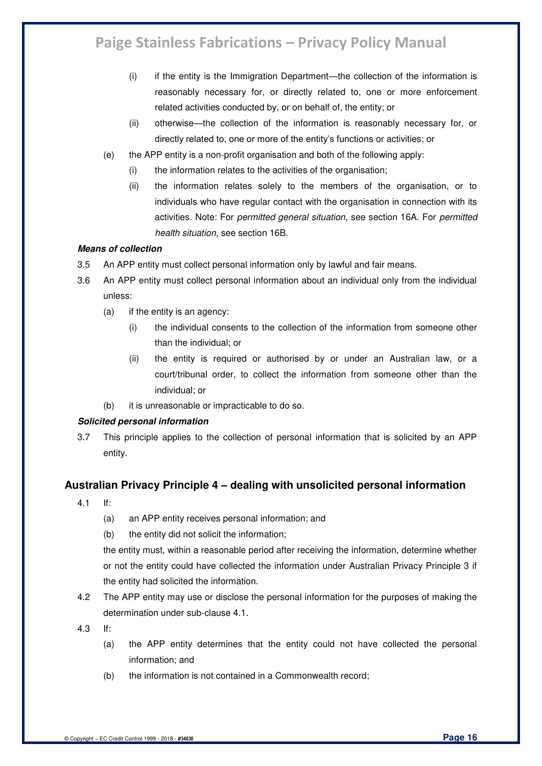- (i) if the entity is the Immigration Department—the collection of the information is reasonably necessary for, or directly related to, one or more enforcement related activities conducted by, or on behalf of, the entity; or
- (ii) otherwise—the collection of the information is reasonably necessary for, or directly related to, one or more of the entity's functions or activities; or
- (e) the APP entity is a non-profit organisation and both of the following apply:
	- (i) the information relates to the activities of the organisation;
	- (ii) the information relates solely to the members of the organisation, or to individuals who have regular contact with the organisation in connection with its activities. Note: For *permitted general situation*, see section 16A. For *permitted health situation*, see section 16B.

#### *Means of collection*

- 3.5 An APP entity must collect personal information only by lawful and fair means.
- 3.6 An APP entity must collect personal information about an individual only from the individual unless:
	- (a) if the entity is an agency:
		- (i) the individual consents to the collection of the information from someone other than the individual; or
		- (ii) the entity is required or authorised by or under an Australian law, or a court/tribunal order, to collect the information from someone other than the individual; or
	- (b) it is unreasonable or impracticable to do so.

#### *Solicited personal information*

3.7 This principle applies to the collection of personal information that is solicited by an APP entity.

### **Australian Privacy Principle 4 – dealing with unsolicited personal information**

- 4.1 If:
	- (a) an APP entity receives personal information; and
	- (b) the entity did not solicit the information;

the entity must, within a reasonable period after receiving the information, determine whether or not the entity could have collected the information under Australian Privacy Principle 3 if the entity had solicited the information.

- 4.2 The APP entity may use or disclose the personal information for the purposes of making the determination under sub-clause 4.1.
- 4.3 If:
	- (a) the APP entity determines that the entity could not have collected the personal information; and
	- (b) the information is not contained in a Commonwealth record;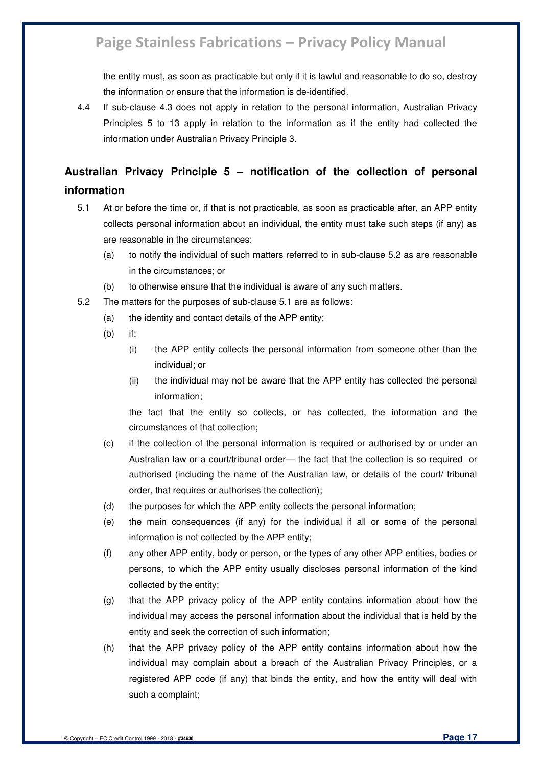the entity must, as soon as practicable but only if it is lawful and reasonable to do so, destroy the information or ensure that the information is de-identified.

4.4 If sub-clause 4.3 does not apply in relation to the personal information, Australian Privacy Principles 5 to 13 apply in relation to the information as if the entity had collected the information under Australian Privacy Principle 3.

### **Australian Privacy Principle 5 – notification of the collection of personal information**

- 5.1 At or before the time or, if that is not practicable, as soon as practicable after, an APP entity collects personal information about an individual, the entity must take such steps (if any) as are reasonable in the circumstances:
	- (a) to notify the individual of such matters referred to in sub-clause 5.2 as are reasonable in the circumstances; or
	- (b) to otherwise ensure that the individual is aware of any such matters.
- 5.2 The matters for the purposes of sub-clause 5.1 are as follows:
	- (a) the identity and contact details of the APP entity;
	- (b) if:
		- (i) the APP entity collects the personal information from someone other than the individual; or
		- (ii) the individual may not be aware that the APP entity has collected the personal information;

the fact that the entity so collects, or has collected, the information and the circumstances of that collection;

- (c) if the collection of the personal information is required or authorised by or under an Australian law or a court/tribunal order— the fact that the collection is so required or authorised (including the name of the Australian law, or details of the court/ tribunal order, that requires or authorises the collection);
- (d) the purposes for which the APP entity collects the personal information;
- (e) the main consequences (if any) for the individual if all or some of the personal information is not collected by the APP entity;
- (f) any other APP entity, body or person, or the types of any other APP entities, bodies or persons, to which the APP entity usually discloses personal information of the kind collected by the entity;
- (g) that the APP privacy policy of the APP entity contains information about how the individual may access the personal information about the individual that is held by the entity and seek the correction of such information;
- (h) that the APP privacy policy of the APP entity contains information about how the individual may complain about a breach of the Australian Privacy Principles, or a registered APP code (if any) that binds the entity, and how the entity will deal with such a complaint;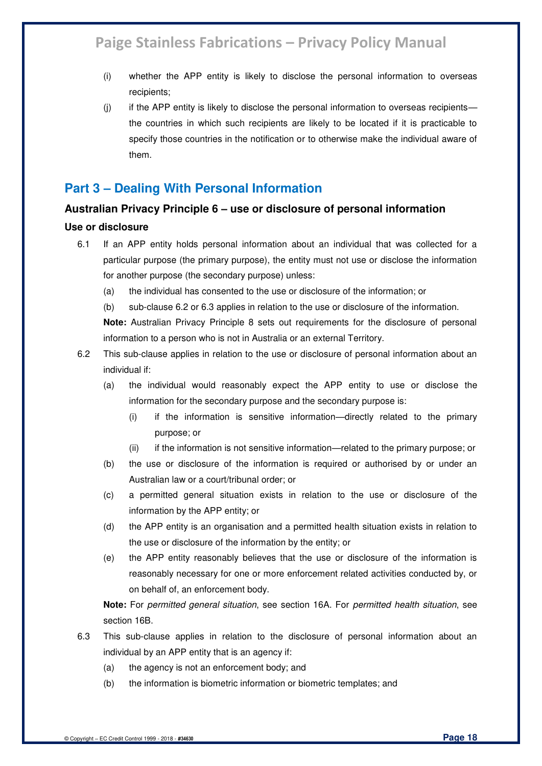- (i) whether the APP entity is likely to disclose the personal information to overseas recipients;
- $(i)$  if the APP entity is likely to disclose the personal information to overseas recipients the countries in which such recipients are likely to be located if it is practicable to specify those countries in the notification or to otherwise make the individual aware of them.

### **Part 3 – Dealing With Personal Information**

### **Australian Privacy Principle 6 – use or disclosure of personal information**

#### **Use or disclosure**

- 6.1 If an APP entity holds personal information about an individual that was collected for a particular purpose (the primary purpose), the entity must not use or disclose the information for another purpose (the secondary purpose) unless:
	- (a) the individual has consented to the use or disclosure of the information; or
	- (b) sub-clause 6.2 or 6.3 applies in relation to the use or disclosure of the information.

**Note:** Australian Privacy Principle 8 sets out requirements for the disclosure of personal information to a person who is not in Australia or an external Territory.

- 6.2 This sub-clause applies in relation to the use or disclosure of personal information about an individual if:
	- (a) the individual would reasonably expect the APP entity to use or disclose the information for the secondary purpose and the secondary purpose is:
		- (i) if the information is sensitive information—directly related to the primary purpose; or
		- (ii) if the information is not sensitive information—related to the primary purpose; or
	- (b) the use or disclosure of the information is required or authorised by or under an Australian law or a court/tribunal order; or
	- (c) a permitted general situation exists in relation to the use or disclosure of the information by the APP entity; or
	- (d) the APP entity is an organisation and a permitted health situation exists in relation to the use or disclosure of the information by the entity; or
	- (e) the APP entity reasonably believes that the use or disclosure of the information is reasonably necessary for one or more enforcement related activities conducted by, or on behalf of, an enforcement body.

**Note:** For *permitted general situation*, see section 16A. For *permitted health situation*, see section 16B.

- 6.3 This sub-clause applies in relation to the disclosure of personal information about an individual by an APP entity that is an agency if:
	- (a) the agency is not an enforcement body; and
	- (b) the information is biometric information or biometric templates; and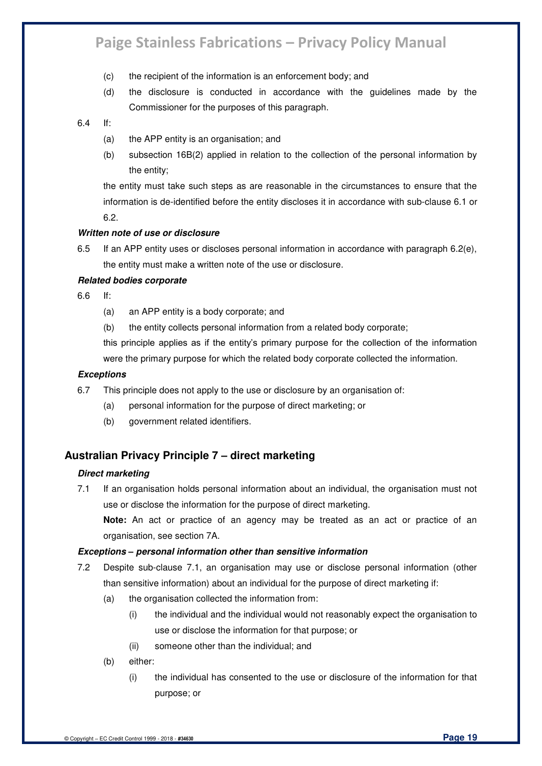- (c) the recipient of the information is an enforcement body; and
- (d) the disclosure is conducted in accordance with the guidelines made by the Commissioner for the purposes of this paragraph.

#### 6.4 If:

- (a) the APP entity is an organisation; and
- (b) subsection 16B(2) applied in relation to the collection of the personal information by the entity;

the entity must take such steps as are reasonable in the circumstances to ensure that the information is de-identified before the entity discloses it in accordance with sub-clause 6.1 or 6.2.

#### *Written note of use or disclosure*

6.5 If an APP entity uses or discloses personal information in accordance with paragraph 6.2(e), the entity must make a written note of the use or disclosure.

#### *Related bodies corporate*

6.6 If:

- (a) an APP entity is a body corporate; and
- (b) the entity collects personal information from a related body corporate;

this principle applies as if the entity's primary purpose for the collection of the information were the primary purpose for which the related body corporate collected the information.

#### *Exceptions*

- 6.7 This principle does not apply to the use or disclosure by an organisation of:
	- (a) personal information for the purpose of direct marketing; or
	- (b) government related identifiers.

### **Australian Privacy Principle 7 – direct marketing**

#### *Direct marketing*

7.1 If an organisation holds personal information about an individual, the organisation must not use or disclose the information for the purpose of direct marketing.

**Note:** An act or practice of an agency may be treated as an act or practice of an organisation, see section 7A.

#### *Exceptions – personal information other than sensitive information*

- 7.2 Despite sub-clause 7.1, an organisation may use or disclose personal information (other than sensitive information) about an individual for the purpose of direct marketing if:
	- (a) the organisation collected the information from:
		- (i) the individual and the individual would not reasonably expect the organisation to use or disclose the information for that purpose; or
		- (ii) someone other than the individual; and
	- (b) either:
		- (i) the individual has consented to the use or disclosure of the information for that purpose; or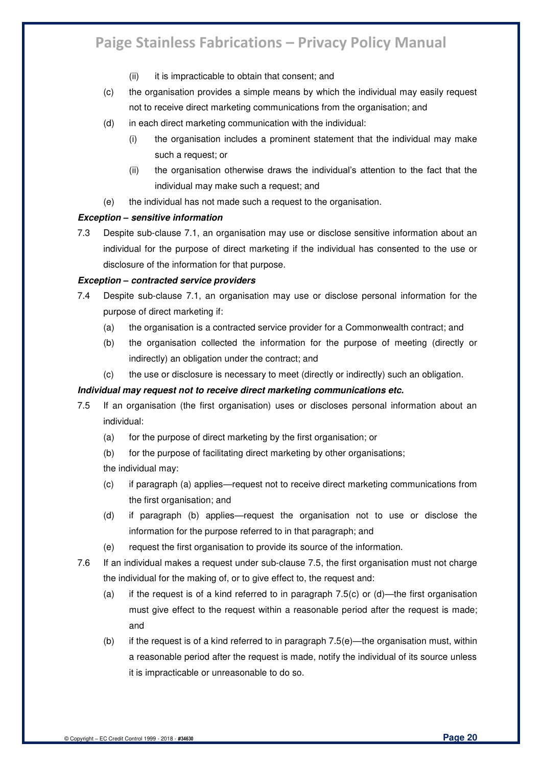- (ii) it is impracticable to obtain that consent; and
- (c) the organisation provides a simple means by which the individual may easily request not to receive direct marketing communications from the organisation; and
- (d) in each direct marketing communication with the individual:
	- (i) the organisation includes a prominent statement that the individual may make such a request; or
	- (ii) the organisation otherwise draws the individual's attention to the fact that the individual may make such a request; and
- (e) the individual has not made such a request to the organisation.

#### *Exception – sensitive information*

7.3 Despite sub-clause 7.1, an organisation may use or disclose sensitive information about an individual for the purpose of direct marketing if the individual has consented to the use or disclosure of the information for that purpose.

#### *Exception – contracted service providers*

- 7.4 Despite sub-clause 7.1, an organisation may use or disclose personal information for the purpose of direct marketing if:
	- (a) the organisation is a contracted service provider for a Commonwealth contract; and
	- (b) the organisation collected the information for the purpose of meeting (directly or indirectly) an obligation under the contract; and
	- (c) the use or disclosure is necessary to meet (directly or indirectly) such an obligation.

#### *Individual may request not to receive direct marketing communications etc.*

- 7.5 If an organisation (the first organisation) uses or discloses personal information about an individual:
	- (a) for the purpose of direct marketing by the first organisation; or
	- (b) for the purpose of facilitating direct marketing by other organisations; the individual may:
	- (c) if paragraph (a) applies—request not to receive direct marketing communications from the first organisation; and
	- (d) if paragraph (b) applies—request the organisation not to use or disclose the information for the purpose referred to in that paragraph; and
	- (e) request the first organisation to provide its source of the information.
- 7.6 If an individual makes a request under sub-clause 7.5, the first organisation must not charge the individual for the making of, or to give effect to, the request and:
	- (a) if the request is of a kind referred to in paragraph 7.5(c) or  $(d)$ —the first organisation must give effect to the request within a reasonable period after the request is made; and
	- (b) if the request is of a kind referred to in paragraph 7.5(e)—the organisation must, within a reasonable period after the request is made, notify the individual of its source unless it is impracticable or unreasonable to do so.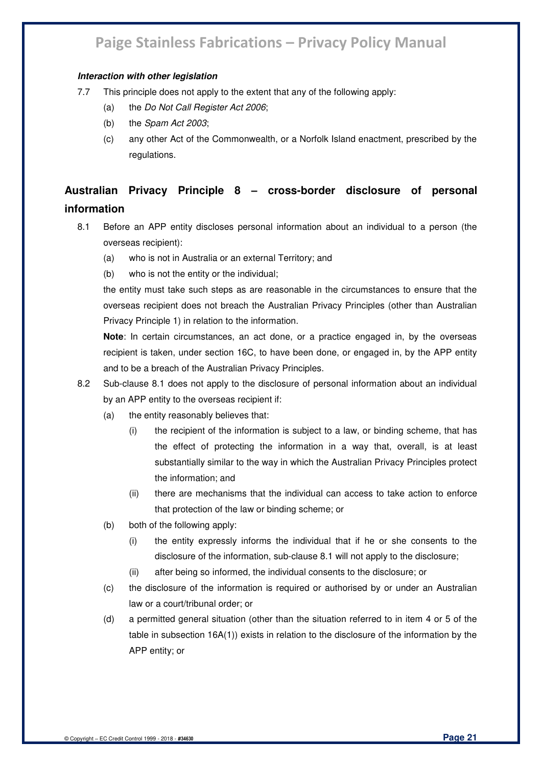#### *Interaction with other legislation*

- 7.7 This principle does not apply to the extent that any of the following apply:
	- (a) the *Do Not Call Register Act 2006*;
	- (b) the *Spam Act 2003*;
	- (c) any other Act of the Commonwealth, or a Norfolk Island enactment, prescribed by the regulations.

### **Australian Privacy Principle 8 – cross-border disclosure of personal information**

- 8.1 Before an APP entity discloses personal information about an individual to a person (the overseas recipient):
	- (a) who is not in Australia or an external Territory; and
	- (b) who is not the entity or the individual;

the entity must take such steps as are reasonable in the circumstances to ensure that the overseas recipient does not breach the Australian Privacy Principles (other than Australian Privacy Principle 1) in relation to the information.

**Note**: In certain circumstances, an act done, or a practice engaged in, by the overseas recipient is taken, under section 16C, to have been done, or engaged in, by the APP entity and to be a breach of the Australian Privacy Principles.

- 8.2 Sub-clause 8.1 does not apply to the disclosure of personal information about an individual by an APP entity to the overseas recipient if:
	- (a) the entity reasonably believes that:
		- (i) the recipient of the information is subject to a law, or binding scheme, that has the effect of protecting the information in a way that, overall, is at least substantially similar to the way in which the Australian Privacy Principles protect the information; and
		- (ii) there are mechanisms that the individual can access to take action to enforce that protection of the law or binding scheme; or
	- (b) both of the following apply:
		- (i) the entity expressly informs the individual that if he or she consents to the disclosure of the information, sub-clause 8.1 will not apply to the disclosure;
		- (ii) after being so informed, the individual consents to the disclosure; or
	- (c) the disclosure of the information is required or authorised by or under an Australian law or a court/tribunal order; or
	- (d) a permitted general situation (other than the situation referred to in item 4 or 5 of the table in subsection 16A(1)) exists in relation to the disclosure of the information by the APP entity; or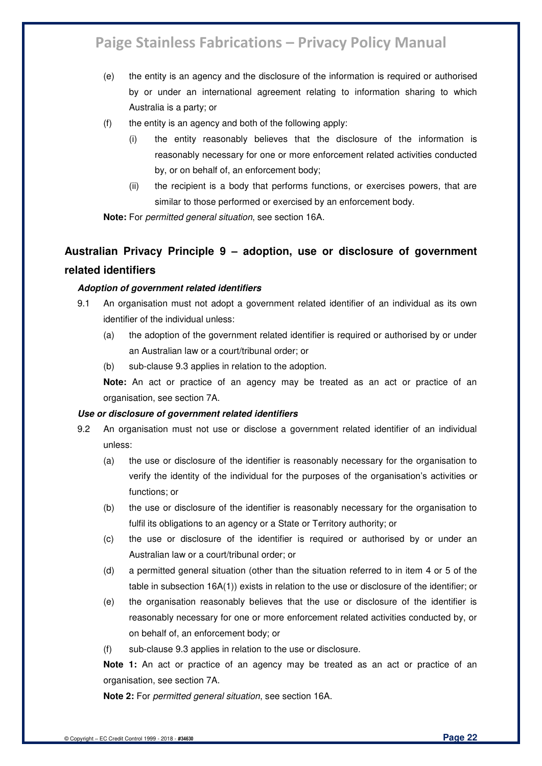- (e) the entity is an agency and the disclosure of the information is required or authorised by or under an international agreement relating to information sharing to which Australia is a party; or
- (f) the entity is an agency and both of the following apply:
	- (i) the entity reasonably believes that the disclosure of the information is reasonably necessary for one or more enforcement related activities conducted by, or on behalf of, an enforcement body;
	- (ii) the recipient is a body that performs functions, or exercises powers, that are similar to those performed or exercised by an enforcement body.

**Note:** For *permitted general situation*, see section 16A.

### **Australian Privacy Principle 9 – adoption, use or disclosure of government related identifiers**

#### *Adoption of government related identifiers*

- 9.1 An organisation must not adopt a government related identifier of an individual as its own identifier of the individual unless:
	- (a) the adoption of the government related identifier is required or authorised by or under an Australian law or a court/tribunal order; or
	- (b) sub-clause 9.3 applies in relation to the adoption.

**Note:** An act or practice of an agency may be treated as an act or practice of an organisation, see section 7A.

#### *Use or disclosure of government related identifiers*

- 9.2 An organisation must not use or disclose a government related identifier of an individual unless:
	- (a) the use or disclosure of the identifier is reasonably necessary for the organisation to verify the identity of the individual for the purposes of the organisation's activities or functions; or
	- (b) the use or disclosure of the identifier is reasonably necessary for the organisation to fulfil its obligations to an agency or a State or Territory authority; or
	- (c) the use or disclosure of the identifier is required or authorised by or under an Australian law or a court/tribunal order; or
	- (d) a permitted general situation (other than the situation referred to in item 4 or 5 of the table in subsection 16A(1)) exists in relation to the use or disclosure of the identifier; or
	- (e) the organisation reasonably believes that the use or disclosure of the identifier is reasonably necessary for one or more enforcement related activities conducted by, or on behalf of, an enforcement body; or
	- (f) sub-clause 9.3 applies in relation to the use or disclosure.

**Note 1:** An act or practice of an agency may be treated as an act or practice of an organisation, see section 7A.

**Note 2:** For *permitted general situation*, see section 16A.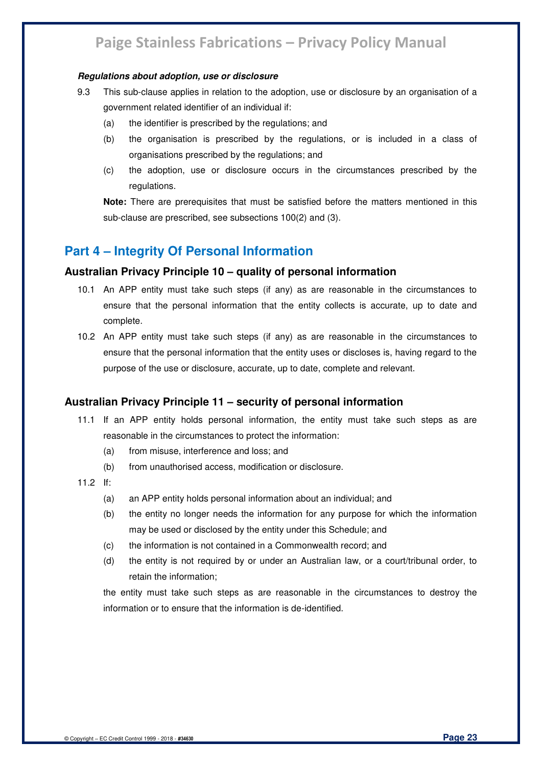#### *Regulations about adoption, use or disclosure*

- 9.3 This sub-clause applies in relation to the adoption, use or disclosure by an organisation of a government related identifier of an individual if:
	- (a) the identifier is prescribed by the regulations; and
	- (b) the organisation is prescribed by the regulations, or is included in a class of organisations prescribed by the regulations; and
	- (c) the adoption, use or disclosure occurs in the circumstances prescribed by the regulations.

**Note:** There are prerequisites that must be satisfied before the matters mentioned in this sub-clause are prescribed, see subsections 100(2) and (3).

### **Part 4 – Integrity Of Personal Information**

#### **Australian Privacy Principle 10 – quality of personal information**

- 10.1 An APP entity must take such steps (if any) as are reasonable in the circumstances to ensure that the personal information that the entity collects is accurate, up to date and complete.
- 10.2 An APP entity must take such steps (if any) as are reasonable in the circumstances to ensure that the personal information that the entity uses or discloses is, having regard to the purpose of the use or disclosure, accurate, up to date, complete and relevant.

### **Australian Privacy Principle 11 – security of personal information**

- 11.1 If an APP entity holds personal information, the entity must take such steps as are reasonable in the circumstances to protect the information:
	- (a) from misuse, interference and loss; and
	- (b) from unauthorised access, modification or disclosure.
- 11.2 If:
	- (a) an APP entity holds personal information about an individual; and
	- (b) the entity no longer needs the information for any purpose for which the information may be used or disclosed by the entity under this Schedule; and
	- (c) the information is not contained in a Commonwealth record; and
	- (d) the entity is not required by or under an Australian law, or a court/tribunal order, to retain the information;

the entity must take such steps as are reasonable in the circumstances to destroy the information or to ensure that the information is de-identified.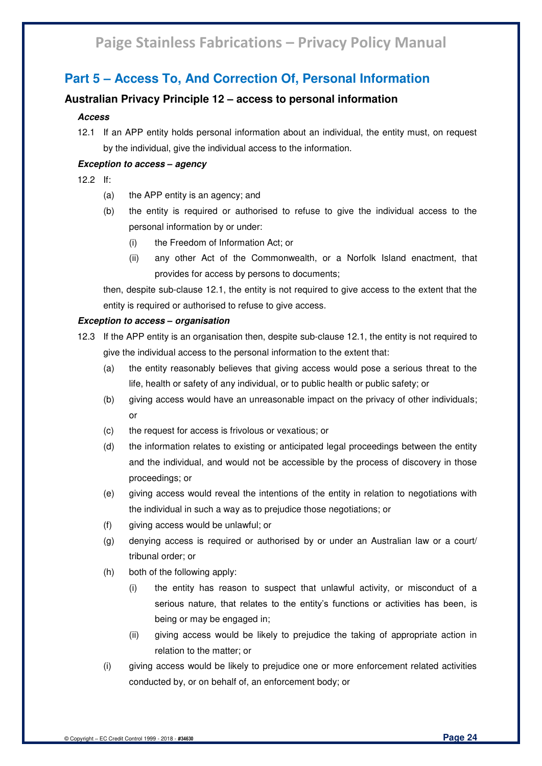### **Part 5 – Access To, And Correction Of, Personal Information**

#### **Australian Privacy Principle 12 – access to personal information**

#### *Access*

12.1 If an APP entity holds personal information about an individual, the entity must, on request by the individual, give the individual access to the information.

#### *Exception to access – agency*

- 12.2 If:
	- (a) the APP entity is an agency; and
	- (b) the entity is required or authorised to refuse to give the individual access to the personal information by or under:
		- (i) the Freedom of Information Act; or
		- (ii) any other Act of the Commonwealth, or a Norfolk Island enactment, that provides for access by persons to documents;

then, despite sub-clause 12.1, the entity is not required to give access to the extent that the entity is required or authorised to refuse to give access.

#### *Exception to access – organisation*

- 12.3 If the APP entity is an organisation then, despite sub-clause 12.1, the entity is not required to give the individual access to the personal information to the extent that:
	- (a) the entity reasonably believes that giving access would pose a serious threat to the life, health or safety of any individual, or to public health or public safety; or
	- (b) giving access would have an unreasonable impact on the privacy of other individuals; or
	- (c) the request for access is frivolous or vexatious; or
	- (d) the information relates to existing or anticipated legal proceedings between the entity and the individual, and would not be accessible by the process of discovery in those proceedings; or
	- (e) giving access would reveal the intentions of the entity in relation to negotiations with the individual in such a way as to prejudice those negotiations; or
	- (f) giving access would be unlawful; or
	- (g) denying access is required or authorised by or under an Australian law or a court/ tribunal order; or
	- (h) both of the following apply:
		- (i) the entity has reason to suspect that unlawful activity, or misconduct of a serious nature, that relates to the entity's functions or activities has been, is being or may be engaged in;
		- (ii) giving access would be likely to prejudice the taking of appropriate action in relation to the matter; or
	- (i) giving access would be likely to prejudice one or more enforcement related activities conducted by, or on behalf of, an enforcement body; or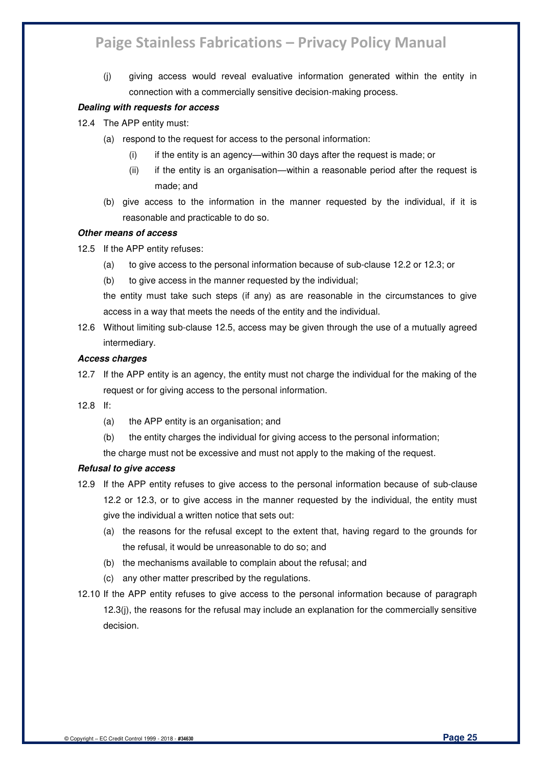(j) giving access would reveal evaluative information generated within the entity in connection with a commercially sensitive decision-making process.

#### *Dealing with requests for access*

- 12.4 The APP entity must:
	- (a) respond to the request for access to the personal information:
		- (i) if the entity is an agency—within 30 days after the request is made; or
		- (ii) if the entity is an organisation—within a reasonable period after the request is made; and
	- (b) give access to the information in the manner requested by the individual, if it is reasonable and practicable to do so.

#### *Other means of access*

- 12.5 If the APP entity refuses:
	- (a) to give access to the personal information because of sub-clause 12.2 or 12.3; or
	- (b) to give access in the manner requested by the individual;

the entity must take such steps (if any) as are reasonable in the circumstances to give access in a way that meets the needs of the entity and the individual.

12.6 Without limiting sub-clause 12.5, access may be given through the use of a mutually agreed intermediary.

#### *Access charges*

- 12.7 If the APP entity is an agency, the entity must not charge the individual for the making of the request or for giving access to the personal information.
- 12.8 If:
	- (a) the APP entity is an organisation; and
	- (b) the entity charges the individual for giving access to the personal information;

the charge must not be excessive and must not apply to the making of the request.

#### *Refusal to give access*

- 12.9 If the APP entity refuses to give access to the personal information because of sub-clause 12.2 or 12.3, or to give access in the manner requested by the individual, the entity must give the individual a written notice that sets out:
	- (a) the reasons for the refusal except to the extent that, having regard to the grounds for the refusal, it would be unreasonable to do so; and
	- (b) the mechanisms available to complain about the refusal; and
	- (c) any other matter prescribed by the regulations.
- 12.10 If the APP entity refuses to give access to the personal information because of paragraph 12.3(j), the reasons for the refusal may include an explanation for the commercially sensitive decision.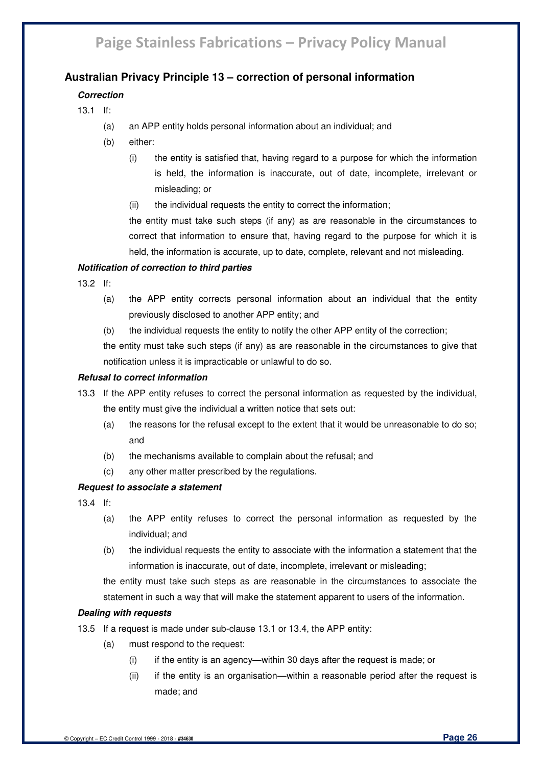### **Australian Privacy Principle 13 – correction of personal information**

#### *Correction*

- 13.1 If:
	- (a) an APP entity holds personal information about an individual; and
	- (b) either:
		- (i) the entity is satisfied that, having regard to a purpose for which the information is held, the information is inaccurate, out of date, incomplete, irrelevant or misleading; or
		- (ii) the individual requests the entity to correct the information;

the entity must take such steps (if any) as are reasonable in the circumstances to correct that information to ensure that, having regard to the purpose for which it is held, the information is accurate, up to date, complete, relevant and not misleading.

#### *Notification of correction to third parties*

- 13.2 If:
	- (a) the APP entity corrects personal information about an individual that the entity previously disclosed to another APP entity; and
	- (b) the individual requests the entity to notify the other APP entity of the correction;

the entity must take such steps (if any) as are reasonable in the circumstances to give that notification unless it is impracticable or unlawful to do so.

#### *Refusal to correct information*

- 13.3 If the APP entity refuses to correct the personal information as requested by the individual, the entity must give the individual a written notice that sets out:
	- (a) the reasons for the refusal except to the extent that it would be unreasonable to do so; and
	- (b) the mechanisms available to complain about the refusal; and
	- (c) any other matter prescribed by the regulations.

#### *Request to associate a statement*

13.4 If:

- (a) the APP entity refuses to correct the personal information as requested by the individual; and
- (b) the individual requests the entity to associate with the information a statement that the information is inaccurate, out of date, incomplete, irrelevant or misleading;

the entity must take such steps as are reasonable in the circumstances to associate the statement in such a way that will make the statement apparent to users of the information.

#### *Dealing with requests*

13.5 If a request is made under sub-clause 13.1 or 13.4, the APP entity:

- (a) must respond to the request:
	- (i) if the entity is an agency—within 30 days after the request is made; or
	- (ii) if the entity is an organisation—within a reasonable period after the request is made; and